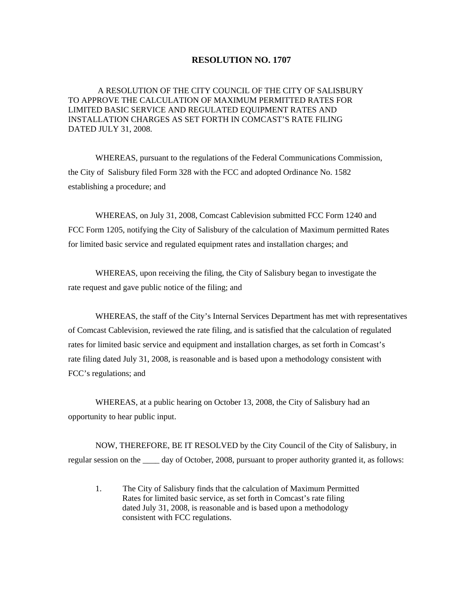## **RESOLUTION NO. 1707**

A RESOLUTION OF THE CITY COUNCIL OF THE CITY OF SALISBURY TO APPROVE THE CALCULATION OF MAXIMUM PERMITTED RATES FOR LIMITED BASIC SERVICE AND REGULATED EQUIPMENT RATES AND INSTALLATION CHARGES AS SET FORTH IN COMCAST'S RATE FILING DATED JULY 31, 2008.

WHEREAS, pursuant to the regulations of the Federal Communications Commission, the City of Salisbury filed Form 328 with the FCC and adopted Ordinance No. 1582 establishing a procedure; and

 WHEREAS, on July 31, 2008, Comcast Cablevision submitted FCC Form 1240 and FCC Form 1205, notifying the City of Salisbury of the calculation of Maximum permitted Rates for limited basic service and regulated equipment rates and installation charges; and

 WHEREAS, upon receiving the filing, the City of Salisbury began to investigate the rate request and gave public notice of the filing; and

 WHEREAS, the staff of the City's Internal Services Department has met with representatives of Comcast Cablevision, reviewed the rate filing, and is satisfied that the calculation of regulated rates for limited basic service and equipment and installation charges, as set forth in Comcast's rate filing dated July 31, 2008, is reasonable and is based upon a methodology consistent with FCC's regulations; and

 WHEREAS, at a public hearing on October 13, 2008, the City of Salisbury had an opportunity to hear public input.

 NOW, THEREFORE, BE IT RESOLVED by the City Council of the City of Salisbury, in regular session on the day of October, 2008, pursuant to proper authority granted it, as follows:

 1. The City of Salisbury finds that the calculation of Maximum Permitted Rates for limited basic service, as set forth in Comcast's rate filing dated July 31, 2008, is reasonable and is based upon a methodology consistent with FCC regulations.